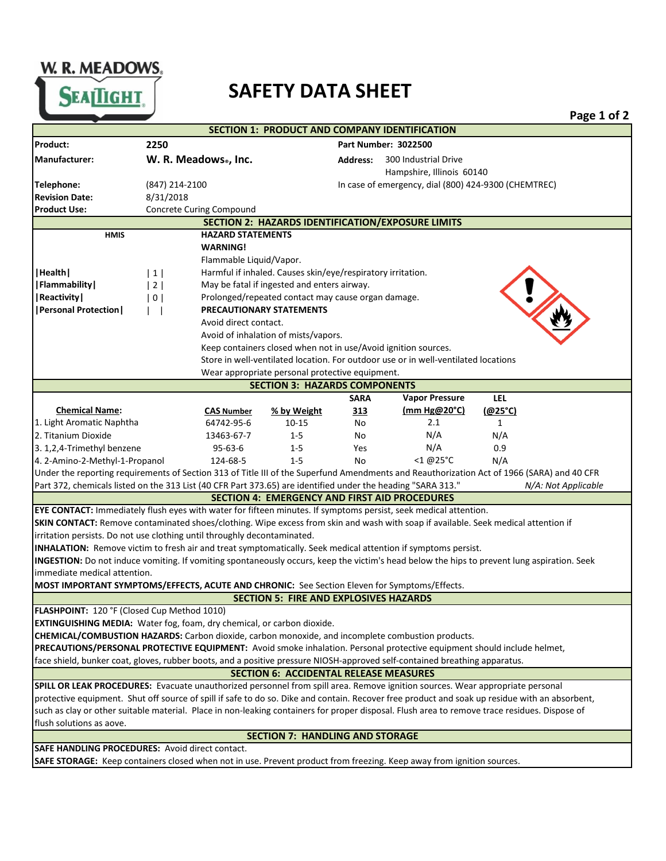W. R. MEADOWS.



|                                                                                                                                                                                                                                                                                 |                                                                      |                         |                                                                                         |                                                      |                                                                                    |              | Page 1 of 2         |  |  |  |  |
|---------------------------------------------------------------------------------------------------------------------------------------------------------------------------------------------------------------------------------------------------------------------------------|----------------------------------------------------------------------|-------------------------|-----------------------------------------------------------------------------------------|------------------------------------------------------|------------------------------------------------------------------------------------|--------------|---------------------|--|--|--|--|
|                                                                                                                                                                                                                                                                                 |                                                                      |                         | <b>SECTION 1: PRODUCT AND COMPANY IDENTIFICATION</b>                                    |                                                      |                                                                                    |              |                     |  |  |  |  |
| Product:                                                                                                                                                                                                                                                                        | 2250<br><b>Part Number: 3022500</b>                                  |                         |                                                                                         |                                                      |                                                                                    |              |                     |  |  |  |  |
| Manufacturer:                                                                                                                                                                                                                                                                   | W. R. Meadows., Inc.                                                 |                         | 300 Industrial Drive<br><b>Address:</b>                                                 |                                                      |                                                                                    |              |                     |  |  |  |  |
|                                                                                                                                                                                                                                                                                 |                                                                      |                         |                                                                                         |                                                      | Hampshire, Illinois 60140                                                          |              |                     |  |  |  |  |
| Telephone:                                                                                                                                                                                                                                                                      | (847) 214-2100                                                       |                         |                                                                                         | In case of emergency, dial (800) 424-9300 (CHEMTREC) |                                                                                    |              |                     |  |  |  |  |
| <b>Revision Date:</b>                                                                                                                                                                                                                                                           | 8/31/2018                                                            |                         |                                                                                         |                                                      |                                                                                    |              |                     |  |  |  |  |
| <b>Product Use:</b>                                                                                                                                                                                                                                                             | Concrete Curing Compound                                             |                         |                                                                                         |                                                      |                                                                                    |              |                     |  |  |  |  |
|                                                                                                                                                                                                                                                                                 |                                                                      |                         | SECTION 2: HAZARDS IDENTIFICATION/EXPOSURE LIMITS                                       |                                                      |                                                                                    |              |                     |  |  |  |  |
| <b>HMIS</b><br><b>HAZARD STATEMENTS</b>                                                                                                                                                                                                                                         |                                                                      |                         |                                                                                         |                                                      |                                                                                    |              |                     |  |  |  |  |
|                                                                                                                                                                                                                                                                                 |                                                                      | <b>WARNING!</b>         |                                                                                         |                                                      |                                                                                    |              |                     |  |  |  |  |
|                                                                                                                                                                                                                                                                                 |                                                                      | Flammable Liquid/Vapor. |                                                                                         |                                                      |                                                                                    |              |                     |  |  |  |  |
| Health                                                                                                                                                                                                                                                                          | $1\vert$                                                             |                         | Harmful if inhaled. Causes skin/eye/respiratory irritation.                             |                                                      |                                                                                    |              |                     |  |  |  |  |
| Flammability                                                                                                                                                                                                                                                                    | May be fatal if ingested and enters airway.<br>2                     |                         |                                                                                         |                                                      |                                                                                    |              |                     |  |  |  |  |
| Reactivity                                                                                                                                                                                                                                                                      | Prolonged/repeated contact may cause organ damage.<br>0 <sup>1</sup> |                         |                                                                                         |                                                      |                                                                                    |              |                     |  |  |  |  |
| <b> Personal Protection </b>                                                                                                                                                                                                                                                    | <b>PRECAUTIONARY STATEMENTS</b>                                      |                         |                                                                                         |                                                      |                                                                                    |              |                     |  |  |  |  |
|                                                                                                                                                                                                                                                                                 |                                                                      | Avoid direct contact.   |                                                                                         |                                                      |                                                                                    |              |                     |  |  |  |  |
|                                                                                                                                                                                                                                                                                 |                                                                      |                         | Avoid of inhalation of mists/vapors.                                                    |                                                      |                                                                                    |              |                     |  |  |  |  |
|                                                                                                                                                                                                                                                                                 |                                                                      |                         | Keep containers closed when not in use/Avoid ignition sources.                          |                                                      |                                                                                    |              |                     |  |  |  |  |
|                                                                                                                                                                                                                                                                                 |                                                                      |                         |                                                                                         |                                                      | Store in well-ventilated location. For outdoor use or in well-ventilated locations |              |                     |  |  |  |  |
|                                                                                                                                                                                                                                                                                 |                                                                      |                         | Wear appropriate personal protective equipment.<br><b>SECTION 3: HAZARDS COMPONENTS</b> |                                                      |                                                                                    |              |                     |  |  |  |  |
|                                                                                                                                                                                                                                                                                 |                                                                      |                         |                                                                                         | <b>SARA</b>                                          | <b>Vapor Pressure</b>                                                              | <b>LEL</b>   |                     |  |  |  |  |
| <b>Chemical Name:</b>                                                                                                                                                                                                                                                           |                                                                      | <b>CAS Number</b>       | % by Weight                                                                             | 313                                                  | (mm $Hg@20^{\circ}C$ )                                                             | (@25°C)      |                     |  |  |  |  |
| 1. Light Aromatic Naphtha                                                                                                                                                                                                                                                       |                                                                      | 64742-95-6              | 10-15                                                                                   | No                                                   | 2.1                                                                                | $\mathbf{1}$ |                     |  |  |  |  |
| 2. Titanium Dioxide                                                                                                                                                                                                                                                             |                                                                      | 13463-67-7              | $1 - 5$                                                                                 | No                                                   | N/A                                                                                | N/A          |                     |  |  |  |  |
| 3. 1,2,4-Trimethyl benzene                                                                                                                                                                                                                                                      |                                                                      | $95 - 63 - 6$           | $1 - 5$                                                                                 | Yes                                                  | N/A                                                                                | 0.9          |                     |  |  |  |  |
| 4. 2-Amino-2-Methyl-1-Propanol                                                                                                                                                                                                                                                  |                                                                      | 124-68-5                | $1 - 5$                                                                                 | No                                                   | $<$ 1 @25 $^{\circ}$ C                                                             | N/A          |                     |  |  |  |  |
| Under the reporting requirements of Section 313 of Title III of the Superfund Amendments and Reauthorization Act of 1966 (SARA) and 40 CFR                                                                                                                                      |                                                                      |                         |                                                                                         |                                                      |                                                                                    |              |                     |  |  |  |  |
| Part 372, chemicals listed on the 313 List (40 CFR Part 373.65) are identified under the heading "SARA 313."                                                                                                                                                                    |                                                                      |                         |                                                                                         |                                                      |                                                                                    |              | N/A: Not Applicable |  |  |  |  |
|                                                                                                                                                                                                                                                                                 |                                                                      |                         | <b>SECTION 4: EMERGENCY AND FIRST AID PROCEDURES</b>                                    |                                                      |                                                                                    |              |                     |  |  |  |  |
| EYE CONTACT: Immediately flush eyes with water for fifteen minutes. If symptoms persist, seek medical attention.                                                                                                                                                                |                                                                      |                         |                                                                                         |                                                      |                                                                                    |              |                     |  |  |  |  |
| SKIN CONTACT: Remove contaminated shoes/clothing. Wipe excess from skin and wash with soap if available. Seek medical attention if                                                                                                                                              |                                                                      |                         |                                                                                         |                                                      |                                                                                    |              |                     |  |  |  |  |
| irritation persists. Do not use clothing until throughly decontaminated.                                                                                                                                                                                                        |                                                                      |                         |                                                                                         |                                                      |                                                                                    |              |                     |  |  |  |  |
| INHALATION: Remove victim to fresh air and treat symptomatically. Seek medical attention if symptoms persist.                                                                                                                                                                   |                                                                      |                         |                                                                                         |                                                      |                                                                                    |              |                     |  |  |  |  |
| INGESTION: Do not induce vomiting. If vomiting spontaneously occurs, keep the victim's head below the hips to prevent lung aspiration. Seek                                                                                                                                     |                                                                      |                         |                                                                                         |                                                      |                                                                                    |              |                     |  |  |  |  |
| immediate medical attention.                                                                                                                                                                                                                                                    |                                                                      |                         |                                                                                         |                                                      |                                                                                    |              |                     |  |  |  |  |
| MOST IMPORTANT SYMPTOMS/EFFECTS, ACUTE AND CHRONIC: See Section Eleven for Symptoms/Effects.                                                                                                                                                                                    |                                                                      |                         |                                                                                         |                                                      |                                                                                    |              |                     |  |  |  |  |
|                                                                                                                                                                                                                                                                                 |                                                                      |                         | SECTION 5: FIRE AND EXPLOSIVES HAZARDS                                                  |                                                      |                                                                                    |              |                     |  |  |  |  |
| FLASHPOINT: 120 °F (Closed Cup Method 1010)                                                                                                                                                                                                                                     |                                                                      |                         |                                                                                         |                                                      |                                                                                    |              |                     |  |  |  |  |
| EXTINGUISHING MEDIA: Water fog, foam, dry chemical, or carbon dioxide.                                                                                                                                                                                                          |                                                                      |                         |                                                                                         |                                                      |                                                                                    |              |                     |  |  |  |  |
| CHEMICAL/COMBUSTION HAZARDS: Carbon dioxide, carbon monoxide, and incomplete combustion products.                                                                                                                                                                               |                                                                      |                         |                                                                                         |                                                      |                                                                                    |              |                     |  |  |  |  |
| PRECAUTIONS/PERSONAL PROTECTIVE EQUIPMENT: Avoid smoke inhalation. Personal protective equipment should include helmet,<br>face shield, bunker coat, gloves, rubber boots, and a positive pressure NIOSH-approved self-contained breathing apparatus.                           |                                                                      |                         |                                                                                         |                                                      |                                                                                    |              |                     |  |  |  |  |
|                                                                                                                                                                                                                                                                                 |                                                                      |                         |                                                                                         |                                                      |                                                                                    |              |                     |  |  |  |  |
|                                                                                                                                                                                                                                                                                 |                                                                      |                         | <b>SECTION 6: ACCIDENTAL RELEASE MEASURES</b>                                           |                                                      |                                                                                    |              |                     |  |  |  |  |
| SPILL OR LEAK PROCEDURES: Evacuate unauthorized personnel from spill area. Remove ignition sources. Wear appropriate personal<br>protective equipment. Shut off source of spill if safe to do so. Dike and contain. Recover free product and soak up residue with an absorbent, |                                                                      |                         |                                                                                         |                                                      |                                                                                    |              |                     |  |  |  |  |
| such as clay or other suitable material. Place in non-leaking containers for proper disposal. Flush area to remove trace residues. Dispose of                                                                                                                                   |                                                                      |                         |                                                                                         |                                                      |                                                                                    |              |                     |  |  |  |  |
| flush solutions as aove.                                                                                                                                                                                                                                                        |                                                                      |                         |                                                                                         |                                                      |                                                                                    |              |                     |  |  |  |  |
| <b>SECTION 7: HANDLING AND STORAGE</b>                                                                                                                                                                                                                                          |                                                                      |                         |                                                                                         |                                                      |                                                                                    |              |                     |  |  |  |  |
| <b>SAFE HANDLING PROCEDURES: Avoid direct contact.</b>                                                                                                                                                                                                                          |                                                                      |                         |                                                                                         |                                                      |                                                                                    |              |                     |  |  |  |  |
| SAFE STORAGE: Keep containers closed when not in use. Prevent product from freezing. Keep away from ignition sources.                                                                                                                                                           |                                                                      |                         |                                                                                         |                                                      |                                                                                    |              |                     |  |  |  |  |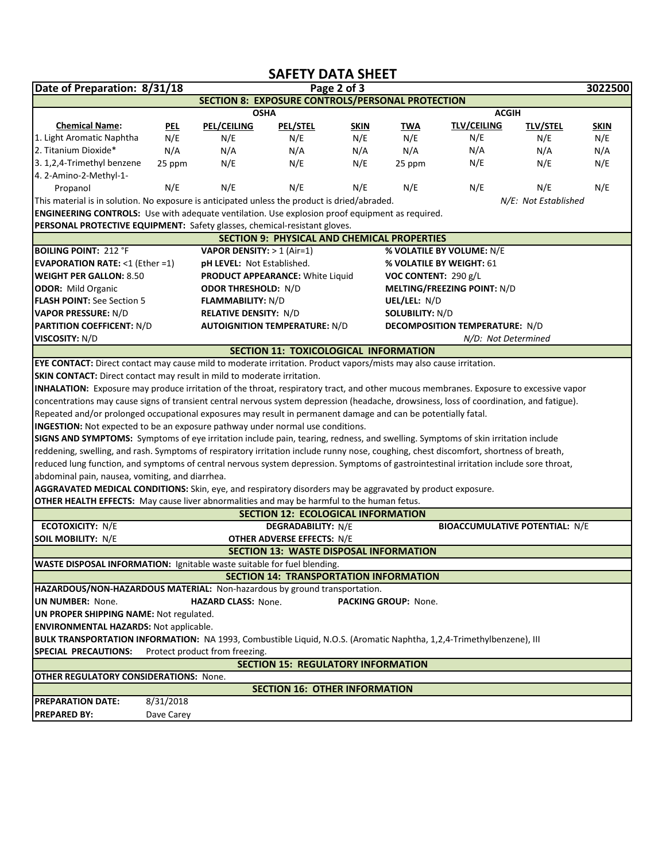## **SAFETY DATA SHEET**

| Date of Preparation: 8/31/18                                                                                                             |                                                                                                                                        | Page 2 of 3                         |                                               |                          |                        |                                       |                                       |             |  |  |  |  |
|------------------------------------------------------------------------------------------------------------------------------------------|----------------------------------------------------------------------------------------------------------------------------------------|-------------------------------------|-----------------------------------------------|--------------------------|------------------------|---------------------------------------|---------------------------------------|-------------|--|--|--|--|
| <b>SECTION 8: EXPOSURE CONTROLS/PERSONAL PROTECTION</b>                                                                                  |                                                                                                                                        |                                     |                                               |                          |                        |                                       |                                       |             |  |  |  |  |
|                                                                                                                                          |                                                                                                                                        |                                     | <b>OSHA</b>                                   |                          | <b>ACGIH</b>           |                                       |                                       |             |  |  |  |  |
| <b>Chemical Name:</b>                                                                                                                    | <b>PEL</b>                                                                                                                             | <b>PEL/CEILING</b>                  | <b>PEL/STEL</b>                               | <b>SKIN</b>              | TWA                    | <b>TLV/CEILING</b>                    | <b>TLV/STEL</b>                       | <b>SKIN</b> |  |  |  |  |
| 1. Light Aromatic Naphtha                                                                                                                | N/E                                                                                                                                    | N/E                                 | N/E                                           | N/E                      | N/E                    | N/E                                   | N/E                                   | N/E         |  |  |  |  |
| 2. Titanium Dioxide*                                                                                                                     | N/A                                                                                                                                    | N/A                                 | N/A                                           | N/A                      | N/A                    | N/A                                   | N/A                                   | N/A         |  |  |  |  |
| 3. 1,2,4-Trimethyl benzene                                                                                                               | 25 ppm                                                                                                                                 | N/E                                 | N/E                                           | N/E                      | 25 ppm                 | N/E                                   | N/E                                   | N/E         |  |  |  |  |
| 4. 2-Amino-2-Methyl-1-                                                                                                                   |                                                                                                                                        |                                     |                                               |                          |                        |                                       |                                       |             |  |  |  |  |
| Propanol                                                                                                                                 | N/E                                                                                                                                    | N/E                                 | N/E                                           | N/E                      | N/E                    | N/E                                   | N/E                                   | N/E         |  |  |  |  |
| This material is in solution. No exposure is anticipated unless the product is dried/abraded.<br>N/E: Not Established                    |                                                                                                                                        |                                     |                                               |                          |                        |                                       |                                       |             |  |  |  |  |
| <b>ENGINEERING CONTROLS:</b> Use with adequate ventilation. Use explosion proof equipment as required.                                   |                                                                                                                                        |                                     |                                               |                          |                        |                                       |                                       |             |  |  |  |  |
| PERSONAL PROTECTIVE EQUIPMENT: Safety glasses, chemical-resistant gloves.                                                                |                                                                                                                                        |                                     |                                               |                          |                        |                                       |                                       |             |  |  |  |  |
| <b>SECTION 9: PHYSICAL AND CHEMICAL PROPERTIES</b>                                                                                       |                                                                                                                                        |                                     |                                               |                          |                        |                                       |                                       |             |  |  |  |  |
| <b>BOILING POINT: 212 °F</b>                                                                                                             |                                                                                                                                        | <b>VAPOR DENSITY:</b> $> 1$ (Air=1) |                                               |                          |                        | % VOLATILE BY VOLUME: N/E             |                                       |             |  |  |  |  |
| <b>EVAPORATION RATE: &lt;1 (Ether =1)</b>                                                                                                | pH LEVEL: Not Established.                                                                                                             |                                     |                                               | % VOLATILE BY WEIGHT: 61 |                        |                                       |                                       |             |  |  |  |  |
| <b>WEIGHT PER GALLON: 8.50</b>                                                                                                           |                                                                                                                                        | PRODUCT APPEARANCE: White Liquid    |                                               | VOC CONTENT: 290 g/L     |                        |                                       |                                       |             |  |  |  |  |
| <b>ODOR:</b> Mild Organic                                                                                                                |                                                                                                                                        | <b>ODOR THRESHOLD: N/D</b>          |                                               |                          |                        | <b>MELTING/FREEZING POINT: N/D</b>    |                                       |             |  |  |  |  |
| <b>FLASH POINT: See Section 5</b>                                                                                                        |                                                                                                                                        | <b>FLAMMABILITY: N/D</b>            |                                               |                          |                        | UEL/LEL: N/D                          |                                       |             |  |  |  |  |
| <b>VAPOR PRESSURE: N/D</b>                                                                                                               | <b>RELATIVE DENSITY: N/D</b>                                                                                                           |                                     |                                               |                          | <b>SOLUBILITY: N/D</b> |                                       |                                       |             |  |  |  |  |
| <b>PARTITION COEFFICENT: N/D</b>                                                                                                         |                                                                                                                                        |                                     | <b>AUTOIGNITION TEMPERATURE: N/D</b>          |                          |                        | <b>DECOMPOSITION TEMPERATURE: N/D</b> |                                       |             |  |  |  |  |
| <b>VISCOSITY: N/D</b>                                                                                                                    |                                                                                                                                        |                                     |                                               |                          |                        |                                       | N/D: Not Determined                   |             |  |  |  |  |
|                                                                                                                                          |                                                                                                                                        |                                     | SECTION 11: TOXICOLOGICAL INFORMATION         |                          |                        |                                       |                                       |             |  |  |  |  |
| EYE CONTACT: Direct contact may cause mild to moderate irritation. Product vapors/mists may also cause irritation.                       |                                                                                                                                        |                                     |                                               |                          |                        |                                       |                                       |             |  |  |  |  |
| <b>SKIN CONTACT:</b> Direct contact may result in mild to moderate irritation.                                                           |                                                                                                                                        |                                     |                                               |                          |                        |                                       |                                       |             |  |  |  |  |
| INHALATION: Exposure may produce irritation of the throat, respiratory tract, and other mucous membranes. Exposure to excessive vapor    |                                                                                                                                        |                                     |                                               |                          |                        |                                       |                                       |             |  |  |  |  |
| concentrations may cause signs of transient central nervous system depression (headache, drowsiness, loss of coordination, and fatigue). |                                                                                                                                        |                                     |                                               |                          |                        |                                       |                                       |             |  |  |  |  |
| Repeated and/or prolonged occupational exposures may result in permanent damage and can be potentially fatal.                            |                                                                                                                                        |                                     |                                               |                          |                        |                                       |                                       |             |  |  |  |  |
| INGESTION: Not expected to be an exposure pathway under normal use conditions.                                                           |                                                                                                                                        |                                     |                                               |                          |                        |                                       |                                       |             |  |  |  |  |
| SIGNS AND SYMPTOMS: Symptoms of eye irritation include pain, tearing, redness, and swelling. Symptoms of skin irritation include         |                                                                                                                                        |                                     |                                               |                          |                        |                                       |                                       |             |  |  |  |  |
| reddening, swelling, and rash. Symptoms of respiratory irritation include runny nose, coughing, chest discomfort, shortness of breath,   |                                                                                                                                        |                                     |                                               |                          |                        |                                       |                                       |             |  |  |  |  |
|                                                                                                                                          | reduced lung function, and symptoms of central nervous system depression. Symptoms of gastrointestinal irritation include sore throat, |                                     |                                               |                          |                        |                                       |                                       |             |  |  |  |  |
| abdominal pain, nausea, vomiting, and diarrhea.                                                                                          |                                                                                                                                        |                                     |                                               |                          |                        |                                       |                                       |             |  |  |  |  |
| AGGRAVATED MEDICAL CONDITIONS: Skin, eye, and respiratory disorders may be aggravated by product exposure.                               |                                                                                                                                        |                                     |                                               |                          |                        |                                       |                                       |             |  |  |  |  |
| OTHER HEALTH EFFECTS: May cause liver abnormalities and may be harmful to the human fetus.                                               |                                                                                                                                        |                                     |                                               |                          |                        |                                       |                                       |             |  |  |  |  |
|                                                                                                                                          |                                                                                                                                        |                                     | <b>SECTION 12: ECOLOGICAL INFORMATION</b>     |                          |                        |                                       |                                       |             |  |  |  |  |
| <b>ECOTOXICITY: N/E</b>                                                                                                                  |                                                                                                                                        |                                     | <b>DEGRADABILITY: N/E</b>                     |                          |                        |                                       | <b>BIOACCUMULATIVE POTENTIAL: N/E</b> |             |  |  |  |  |
| <b>SOIL MOBILITY: N/E</b>                                                                                                                |                                                                                                                                        |                                     | <b>OTHER ADVERSE EFFECTS: N/E</b>             |                          |                        |                                       |                                       |             |  |  |  |  |
| <b>SECTION 13: WASTE DISPOSAL INFORMATION</b>                                                                                            |                                                                                                                                        |                                     |                                               |                          |                        |                                       |                                       |             |  |  |  |  |
| WASTE DISPOSAL INFORMATION: Ignitable waste suitable for fuel blending.                                                                  |                                                                                                                                        |                                     |                                               |                          |                        |                                       |                                       |             |  |  |  |  |
|                                                                                                                                          |                                                                                                                                        |                                     | <b>SECTION 14: TRANSPORTATION INFORMATION</b> |                          |                        |                                       |                                       |             |  |  |  |  |
| HAZARDOUS/NON-HAZARDOUS MATERIAL: Non-hazardous by ground transportation.                                                                |                                                                                                                                        |                                     |                                               |                          |                        |                                       |                                       |             |  |  |  |  |
| <b>UN NUMBER: None.</b><br><b>HAZARD CLASS: None.</b><br>PACKING GROUP: None.                                                            |                                                                                                                                        |                                     |                                               |                          |                        |                                       |                                       |             |  |  |  |  |
| UN PROPER SHIPPING NAME: Not regulated.                                                                                                  |                                                                                                                                        |                                     |                                               |                          |                        |                                       |                                       |             |  |  |  |  |
| <b>ENVIRONMENTAL HAZARDS: Not applicable.</b>                                                                                            |                                                                                                                                        |                                     |                                               |                          |                        |                                       |                                       |             |  |  |  |  |
| BULK TRANSPORTATION INFORMATION: NA 1993, Combustible Liquid, N.O.S. (Aromatic Naphtha, 1,2,4-Trimethylbenzene), III                     |                                                                                                                                        |                                     |                                               |                          |                        |                                       |                                       |             |  |  |  |  |
| Protect product from freezing.<br>SPECIAL PRECAUTIONS:                                                                                   |                                                                                                                                        |                                     |                                               |                          |                        |                                       |                                       |             |  |  |  |  |
| <b>SECTION 15: REGULATORY INFORMATION</b>                                                                                                |                                                                                                                                        |                                     |                                               |                          |                        |                                       |                                       |             |  |  |  |  |
| <b>OTHER REGULATORY CONSIDERATIONS: None.</b>                                                                                            |                                                                                                                                        |                                     |                                               |                          |                        |                                       |                                       |             |  |  |  |  |
| <b>SECTION 16: OTHER INFORMATION</b>                                                                                                     |                                                                                                                                        |                                     |                                               |                          |                        |                                       |                                       |             |  |  |  |  |
| <b>PREPARATION DATE:</b>                                                                                                                 | 8/31/2018                                                                                                                              |                                     |                                               |                          |                        |                                       |                                       |             |  |  |  |  |
| <b>PREPARED BY:</b>                                                                                                                      | Dave Carey                                                                                                                             |                                     |                                               |                          |                        |                                       |                                       |             |  |  |  |  |
|                                                                                                                                          |                                                                                                                                        |                                     |                                               |                          |                        |                                       |                                       |             |  |  |  |  |